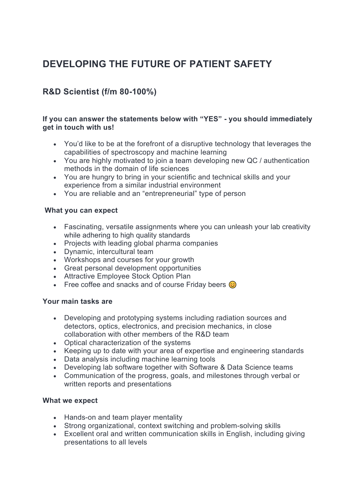# **DEVELOPING THE FUTURE OF PATIENT SAFETY**

## **R&D Scientist (f/m 80-100%)**

#### **If you can answer the statements below with "YES" - you should immediately get in touch with us!**

- You'd like to be at the forefront of a disruptive technology that leverages the capabilities of spectroscopy and machine learning
- You are highly motivated to join a team developing new QC / authentication methods in the domain of life sciences
- You are hungry to bring in your scientific and technical skills and your experience from a similar industrial environment
- You are reliable and an "entrepreneurial" type of person

### **What you can expect**

- Fascinating, versatile assignments where you can unleash your lab creativity while adhering to high quality standards
- Projects with leading global pharma companies
- Dynamic, intercultural team
- Workshops and courses for your growth
- Great personal development opportunities
- Attractive Employee Stock Option Plan
- Free coffee and snacks and of course Friday beers  $\odot$

### **Your main tasks are**

- Developing and prototyping systems including radiation sources and detectors, optics, electronics, and precision mechanics, in close collaboration with other members of the R&D team
- Optical characterization of the systems
- Keeping up to date with your area of expertise and engineering standards
- Data analysis including machine learning tools
- Developing lab software together with Software & Data Science teams
- Communication of the progress, goals, and milestones through verbal or written reports and presentations

### **What we expect**

- Hands-on and team player mentality
- Strong organizational, context switching and problem-solving skills
- Excellent oral and written communication skills in English, including giving presentations to all levels